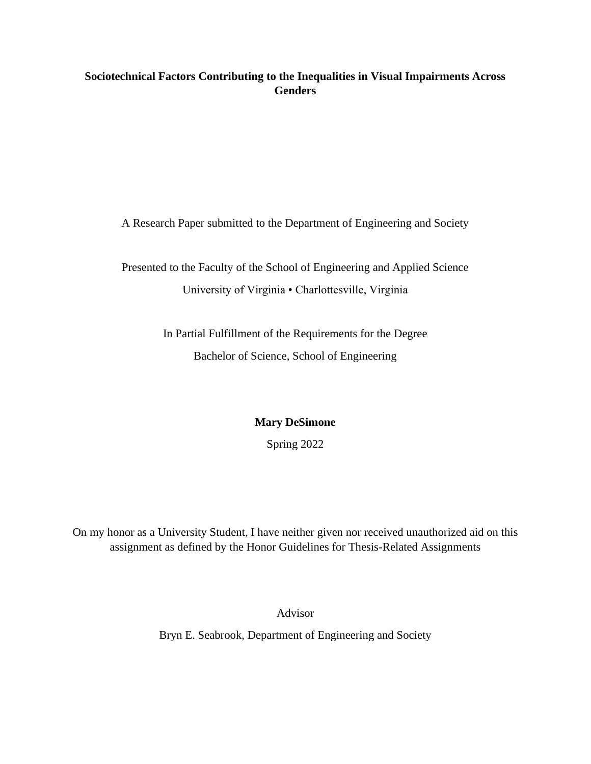# **Sociotechnical Factors Contributing to the Inequalities in Visual Impairments Across Genders**

A Research Paper submitted to the Department of Engineering and Society

Presented to the Faculty of the School of Engineering and Applied Science University of Virginia • Charlottesville, Virginia

> In Partial Fulfillment of the Requirements for the Degree Bachelor of Science, School of Engineering

> > **Mary DeSimone**

Spring 2022

On my honor as a University Student, I have neither given nor received unauthorized aid on this assignment as defined by the Honor Guidelines for Thesis-Related Assignments

Advisor

Bryn E. Seabrook, Department of Engineering and Society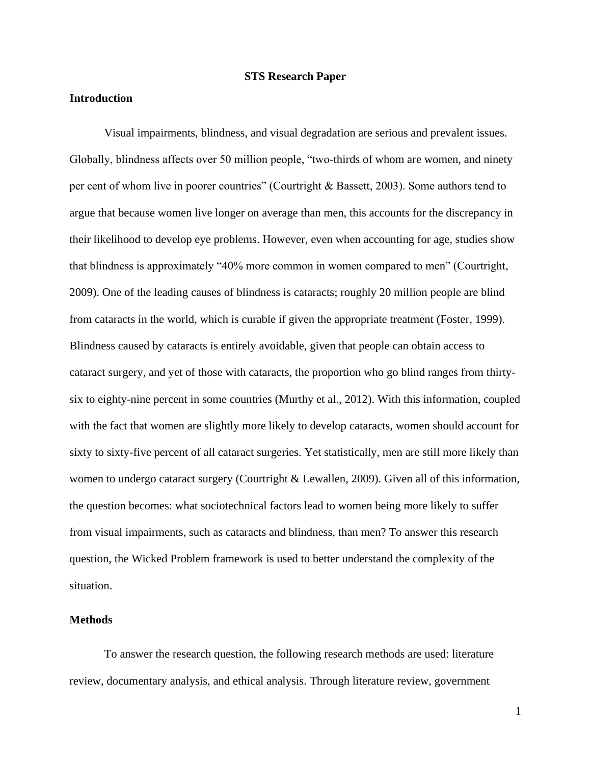#### **STS Research Paper**

## **Introduction**

Visual impairments, blindness, and visual degradation are serious and prevalent issues. Globally, blindness affects over 50 million people, "two-thirds of whom are women, and ninety per cent of whom live in poorer countries" (Courtright & Bassett, 2003). Some authors tend to argue that because women live longer on average than men, this accounts for the discrepancy in their likelihood to develop eye problems. However, even when accounting for age, studies show that blindness is approximately "40% more common in women compared to men" (Courtright, 2009). One of the leading causes of blindness is cataracts; roughly 20 million people are blind from cataracts in the world, which is curable if given the appropriate treatment (Foster, 1999). Blindness caused by cataracts is entirely avoidable, given that people can obtain access to cataract surgery, and yet of those with cataracts, the proportion who go blind ranges from thirtysix to eighty-nine percent in some countries (Murthy et al., 2012). With this information, coupled with the fact that women are slightly more likely to develop cataracts, women should account for sixty to sixty-five percent of all cataract surgeries. Yet statistically, men are still more likely than women to undergo cataract surgery (Courtright & Lewallen, 2009). Given all of this information, the question becomes: what sociotechnical factors lead to women being more likely to suffer from visual impairments, such as cataracts and blindness, than men? To answer this research question, the Wicked Problem framework is used to better understand the complexity of the situation.

## **Methods**

To answer the research question, the following research methods are used: literature review, documentary analysis, and ethical analysis. Through literature review, government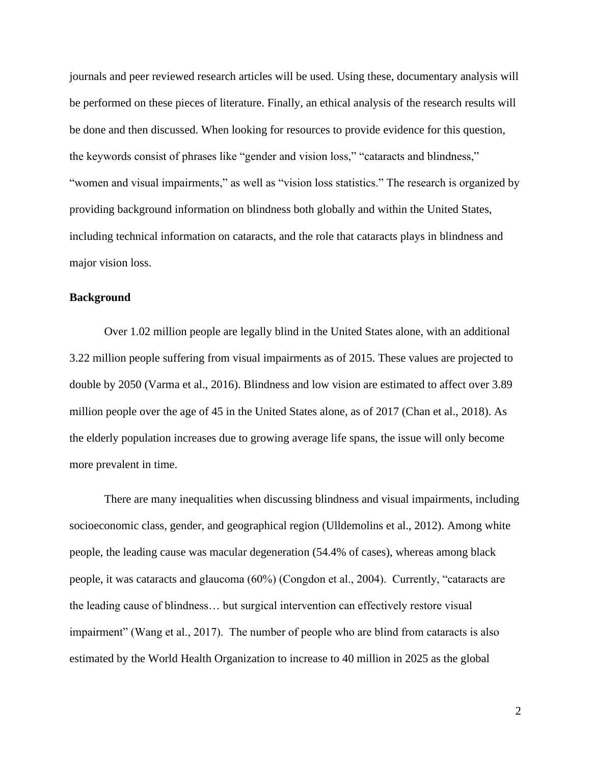journals and peer reviewed research articles will be used. Using these, documentary analysis will be performed on these pieces of literature. Finally, an ethical analysis of the research results will be done and then discussed. When looking for resources to provide evidence for this question, the keywords consist of phrases like "gender and vision loss," "cataracts and blindness," "women and visual impairments," as well as "vision loss statistics." The research is organized by providing background information on blindness both globally and within the United States, including technical information on cataracts, and the role that cataracts plays in blindness and major vision loss.

## **Background**

Over 1.02 million people are legally blind in the United States alone, with an additional 3.22 million people suffering from visual impairments as of 2015. These values are projected to double by 2050 (Varma et al., 2016). Blindness and low vision are estimated to affect over 3.89 million people over the age of 45 in the United States alone, as of 2017 (Chan et al., 2018). As the elderly population increases due to growing average life spans, the issue will only become more prevalent in time.

There are many inequalities when discussing blindness and visual impairments, including socioeconomic class, gender, and geographical region (Ulldemolins et al., 2012). Among white people, the leading cause was macular degeneration (54.4% of cases), whereas among black people, it was cataracts and glaucoma (60%) (Congdon et al., 2004). Currently, "cataracts are the leading cause of blindness… but surgical intervention can effectively restore visual impairment" (Wang et al., 2017). The number of people who are blind from cataracts is also estimated by the World Health Organization to increase to 40 million in 2025 as the global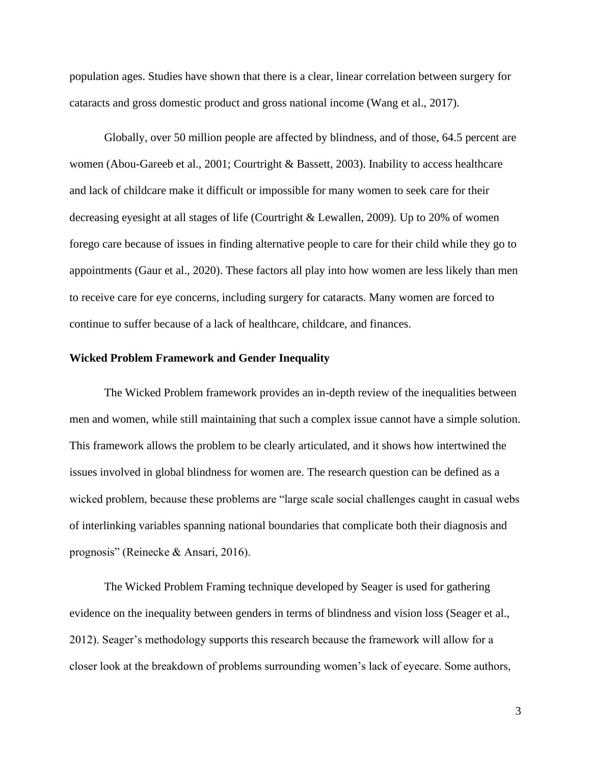population ages. Studies have shown that there is a clear, linear correlation between surgery for cataracts and gross domestic product and gross national income (Wang et al., 2017).

Globally, over 50 million people are affected by blindness, and of those, 64.5 percent are women (Abou-Gareeb et al., 2001; Courtright & Bassett, 2003). Inability to access healthcare and lack of childcare make it difficult or impossible for many women to seek care for their decreasing eyesight at all stages of life (Courtright & Lewallen, 2009). Up to 20% of women forego care because of issues in finding alternative people to care for their child while they go to appointments (Gaur et al., 2020). These factors all play into how women are less likely than men to receive care for eye concerns, including surgery for cataracts. Many women are forced to continue to suffer because of a lack of healthcare, childcare, and finances.

#### **Wicked Problem Framework and Gender Inequality**

The Wicked Problem framework provides an in-depth review of the inequalities between men and women, while still maintaining that such a complex issue cannot have a simple solution. This framework allows the problem to be clearly articulated, and it shows how intertwined the issues involved in global blindness for women are. The research question can be defined as a wicked problem, because these problems are "large scale social challenges caught in casual webs of interlinking variables spanning national boundaries that complicate both their diagnosis and prognosis" (Reinecke & Ansari, 2016).

The Wicked Problem Framing technique developed by Seager is used for gathering evidence on the inequality between genders in terms of blindness and vision loss (Seager et al., 2012). Seager's methodology supports this research because the framework will allow for a closer look at the breakdown of problems surrounding women's lack of eyecare. Some authors,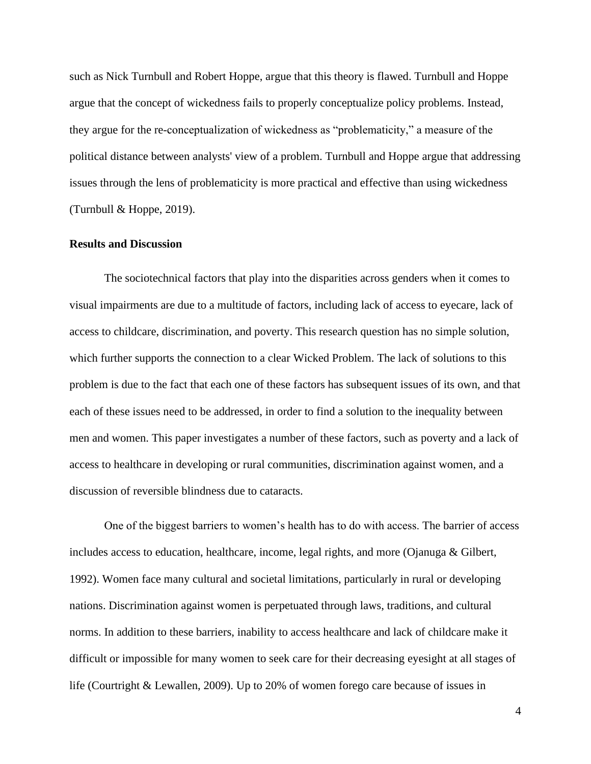such as Nick Turnbull and Robert Hoppe, argue that this theory is flawed. Turnbull and Hoppe argue that the concept of wickedness fails to properly conceptualize policy problems. Instead, they argue for the re-conceptualization of wickedness as "problematicity," a measure of the political distance between analysts' view of a problem. Turnbull and Hoppe argue that addressing issues through the lens of problematicity is more practical and effective than using wickedness (Turnbull & Hoppe, 2019).

#### **Results and Discussion**

The sociotechnical factors that play into the disparities across genders when it comes to visual impairments are due to a multitude of factors, including lack of access to eyecare, lack of access to childcare, discrimination, and poverty. This research question has no simple solution, which further supports the connection to a clear Wicked Problem. The lack of solutions to this problem is due to the fact that each one of these factors has subsequent issues of its own, and that each of these issues need to be addressed, in order to find a solution to the inequality between men and women. This paper investigates a number of these factors, such as poverty and a lack of access to healthcare in developing or rural communities, discrimination against women, and a discussion of reversible blindness due to cataracts.

One of the biggest barriers to women's health has to do with access. The barrier of access includes access to education, healthcare, income, legal rights, and more (Ojanuga & Gilbert, 1992). Women face many cultural and societal limitations, particularly in rural or developing nations. Discrimination against women is perpetuated through laws, traditions, and cultural norms. In addition to these barriers, inability to access healthcare and lack of childcare make it difficult or impossible for many women to seek care for their decreasing eyesight at all stages of life (Courtright & Lewallen, 2009). Up to 20% of women forego care because of issues in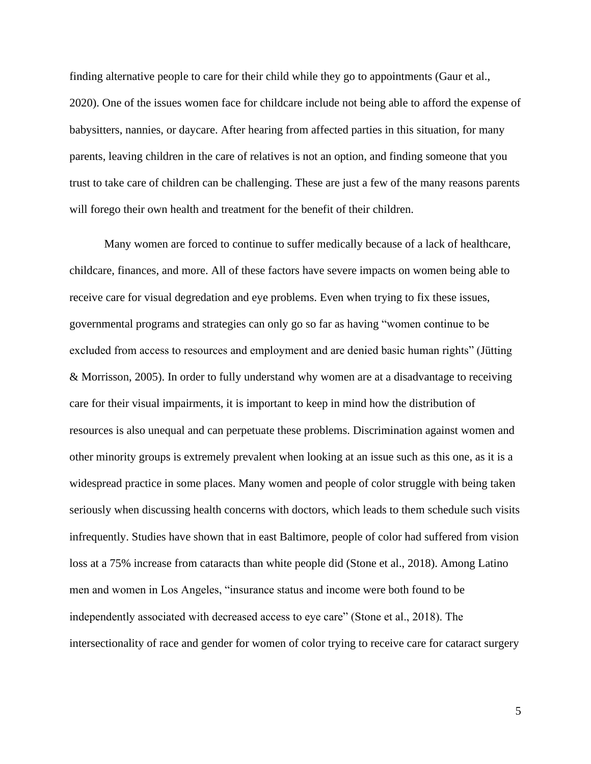finding alternative people to care for their child while they go to appointments (Gaur et al., 2020). One of the issues women face for childcare include not being able to afford the expense of babysitters, nannies, or daycare. After hearing from affected parties in this situation, for many parents, leaving children in the care of relatives is not an option, and finding someone that you trust to take care of children can be challenging. These are just a few of the many reasons parents will forego their own health and treatment for the benefit of their children.

Many women are forced to continue to suffer medically because of a lack of healthcare, childcare, finances, and more. All of these factors have severe impacts on women being able to receive care for visual degredation and eye problems. Even when trying to fix these issues, governmental programs and strategies can only go so far as having "women continue to be excluded from access to resources and employment and are denied basic human rights" (Jütting & Morrisson, 2005). In order to fully understand why women are at a disadvantage to receiving care for their visual impairments, it is important to keep in mind how the distribution of resources is also unequal and can perpetuate these problems. Discrimination against women and other minority groups is extremely prevalent when looking at an issue such as this one, as it is a widespread practice in some places. Many women and people of color struggle with being taken seriously when discussing health concerns with doctors, which leads to them schedule such visits infrequently. Studies have shown that in east Baltimore, people of color had suffered from vision loss at a 75% increase from cataracts than white people did (Stone et al., 2018). Among Latino men and women in Los Angeles, "insurance status and income were both found to be independently associated with decreased access to eye care" (Stone et al., 2018). The intersectionality of race and gender for women of color trying to receive care for cataract surgery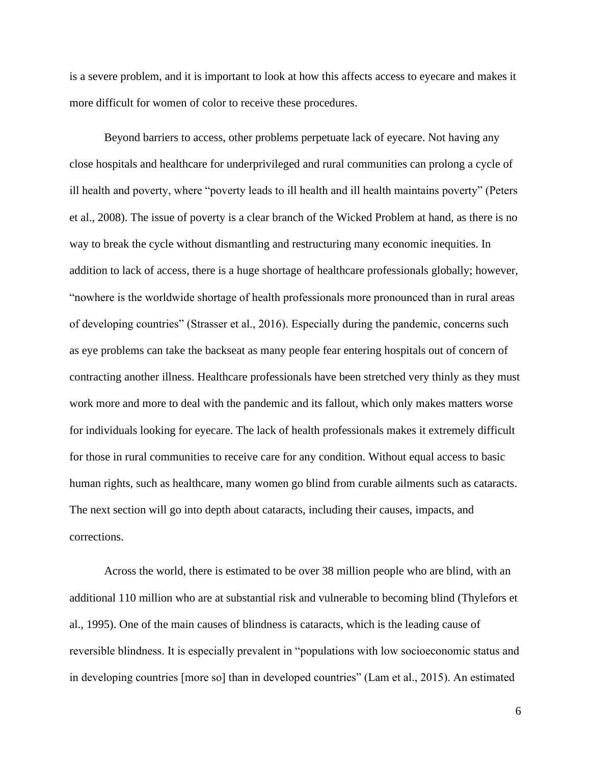is a severe problem, and it is important to look at how this affects access to eyecare and makes it more difficult for women of color to receive these procedures.

Beyond barriers to access, other problems perpetuate lack of eyecare. Not having any close hospitals and healthcare for underprivileged and rural communities can prolong a cycle of ill health and poverty, where "poverty leads to ill health and ill health maintains poverty" (Peters et al., 2008). The issue of poverty is a clear branch of the Wicked Problem at hand, as there is no way to break the cycle without dismantling and restructuring many economic inequities. In addition to lack of access, there is a huge shortage of healthcare professionals globally; however, "nowhere is the worldwide shortage of health professionals more pronounced than in rural areas of developing countries" (Strasser et al., 2016). Especially during the pandemic, concerns such as eye problems can take the backseat as many people fear entering hospitals out of concern of contracting another illness. Healthcare professionals have been stretched very thinly as they must work more and more to deal with the pandemic and its fallout, which only makes matters worse for individuals looking for eyecare. The lack of health professionals makes it extremely difficult for those in rural communities to receive care for any condition. Without equal access to basic human rights, such as healthcare, many women go blind from curable ailments such as cataracts. The next section will go into depth about cataracts, including their causes, impacts, and corrections.

Across the world, there is estimated to be over 38 million people who are blind, with an additional 110 million who are at substantial risk and vulnerable to becoming blind (Thylefors et al., 1995). One of the main causes of blindness is cataracts, which is the leading cause of reversible blindness. It is especially prevalent in "populations with low socioeconomic status and in developing countries [more so] than in developed countries" (Lam et al., 2015). An estimated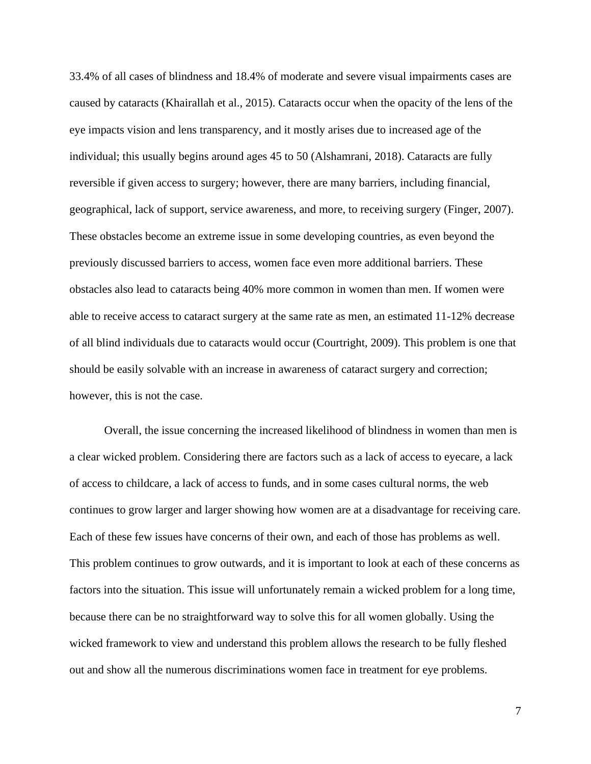33.4% of all cases of blindness and 18.4% of moderate and severe visual impairments cases are caused by cataracts (Khairallah et al., 2015). Cataracts occur when the opacity of the lens of the eye impacts vision and lens transparency, and it mostly arises due to increased age of the individual; this usually begins around ages 45 to 50 (Alshamrani, 2018). Cataracts are fully reversible if given access to surgery; however, there are many barriers, including financial, geographical, lack of support, service awareness, and more, to receiving surgery (Finger, 2007). These obstacles become an extreme issue in some developing countries, as even beyond the previously discussed barriers to access, women face even more additional barriers. These obstacles also lead to cataracts being 40% more common in women than men. If women were able to receive access to cataract surgery at the same rate as men, an estimated 11-12% decrease of all blind individuals due to cataracts would occur (Courtright, 2009). This problem is one that should be easily solvable with an increase in awareness of cataract surgery and correction; however, this is not the case.

Overall, the issue concerning the increased likelihood of blindness in women than men is a clear wicked problem. Considering there are factors such as a lack of access to eyecare, a lack of access to childcare, a lack of access to funds, and in some cases cultural norms, the web continues to grow larger and larger showing how women are at a disadvantage for receiving care. Each of these few issues have concerns of their own, and each of those has problems as well. This problem continues to grow outwards, and it is important to look at each of these concerns as factors into the situation. This issue will unfortunately remain a wicked problem for a long time, because there can be no straightforward way to solve this for all women globally. Using the wicked framework to view and understand this problem allows the research to be fully fleshed out and show all the numerous discriminations women face in treatment for eye problems.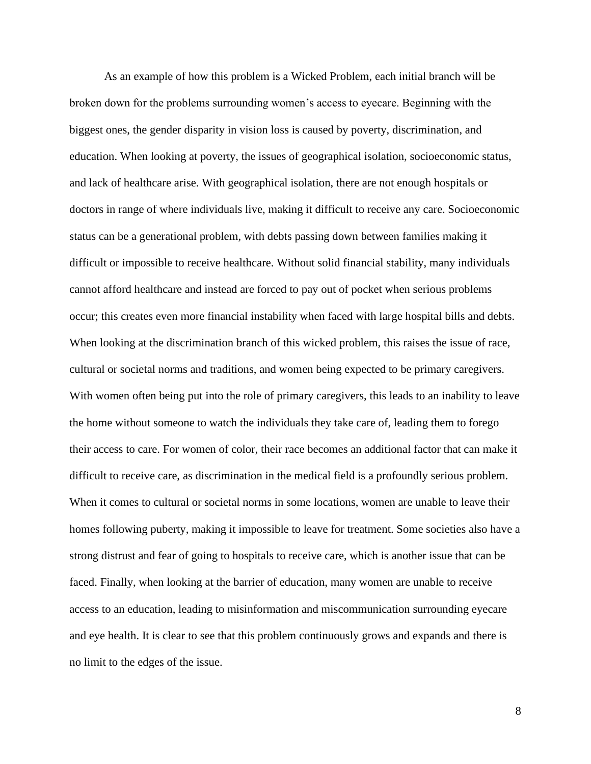As an example of how this problem is a Wicked Problem, each initial branch will be broken down for the problems surrounding women's access to eyecare. Beginning with the biggest ones, the gender disparity in vision loss is caused by poverty, discrimination, and education. When looking at poverty, the issues of geographical isolation, socioeconomic status, and lack of healthcare arise. With geographical isolation, there are not enough hospitals or doctors in range of where individuals live, making it difficult to receive any care. Socioeconomic status can be a generational problem, with debts passing down between families making it difficult or impossible to receive healthcare. Without solid financial stability, many individuals cannot afford healthcare and instead are forced to pay out of pocket when serious problems occur; this creates even more financial instability when faced with large hospital bills and debts. When looking at the discrimination branch of this wicked problem, this raises the issue of race, cultural or societal norms and traditions, and women being expected to be primary caregivers. With women often being put into the role of primary caregivers, this leads to an inability to leave the home without someone to watch the individuals they take care of, leading them to forego their access to care. For women of color, their race becomes an additional factor that can make it difficult to receive care, as discrimination in the medical field is a profoundly serious problem. When it comes to cultural or societal norms in some locations, women are unable to leave their homes following puberty, making it impossible to leave for treatment. Some societies also have a strong distrust and fear of going to hospitals to receive care, which is another issue that can be faced. Finally, when looking at the barrier of education, many women are unable to receive access to an education, leading to misinformation and miscommunication surrounding eyecare and eye health. It is clear to see that this problem continuously grows and expands and there is no limit to the edges of the issue.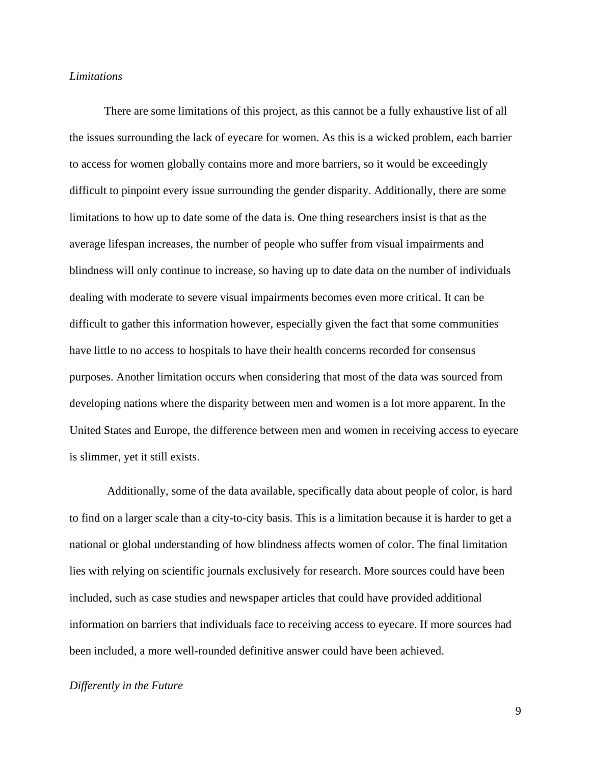### *Limitations*

There are some limitations of this project, as this cannot be a fully exhaustive list of all the issues surrounding the lack of eyecare for women. As this is a wicked problem, each barrier to access for women globally contains more and more barriers, so it would be exceedingly difficult to pinpoint every issue surrounding the gender disparity. Additionally, there are some limitations to how up to date some of the data is. One thing researchers insist is that as the average lifespan increases, the number of people who suffer from visual impairments and blindness will only continue to increase, so having up to date data on the number of individuals dealing with moderate to severe visual impairments becomes even more critical. It can be difficult to gather this information however, especially given the fact that some communities have little to no access to hospitals to have their health concerns recorded for consensus purposes. Another limitation occurs when considering that most of the data was sourced from developing nations where the disparity between men and women is a lot more apparent. In the United States and Europe, the difference between men and women in receiving access to eyecare is slimmer, yet it still exists.

Additionally, some of the data available, specifically data about people of color, is hard to find on a larger scale than a city-to-city basis. This is a limitation because it is harder to get a national or global understanding of how blindness affects women of color. The final limitation lies with relying on scientific journals exclusively for research. More sources could have been included, such as case studies and newspaper articles that could have provided additional information on barriers that individuals face to receiving access to eyecare. If more sources had been included, a more well-rounded definitive answer could have been achieved.

### *Differently in the Future*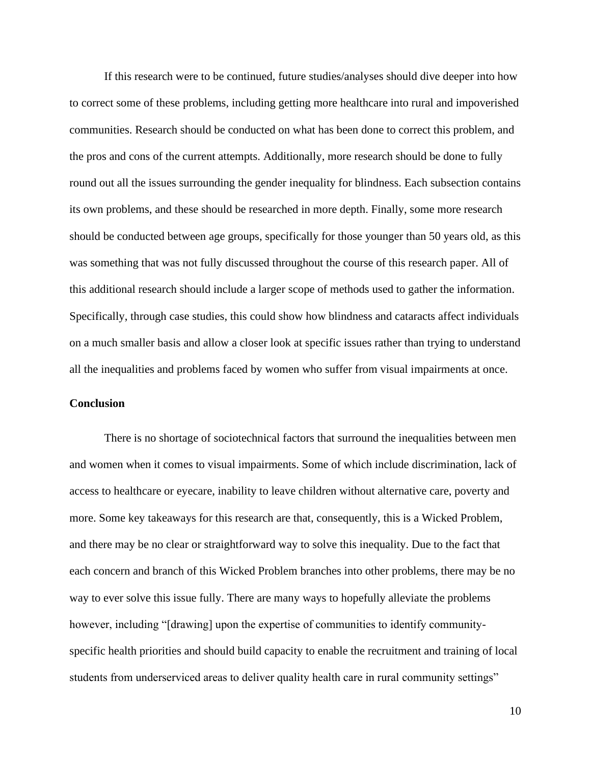If this research were to be continued, future studies/analyses should dive deeper into how to correct some of these problems, including getting more healthcare into rural and impoverished communities. Research should be conducted on what has been done to correct this problem, and the pros and cons of the current attempts. Additionally, more research should be done to fully round out all the issues surrounding the gender inequality for blindness. Each subsection contains its own problems, and these should be researched in more depth. Finally, some more research should be conducted between age groups, specifically for those younger than 50 years old, as this was something that was not fully discussed throughout the course of this research paper. All of this additional research should include a larger scope of methods used to gather the information. Specifically, through case studies, this could show how blindness and cataracts affect individuals on a much smaller basis and allow a closer look at specific issues rather than trying to understand all the inequalities and problems faced by women who suffer from visual impairments at once.

## **Conclusion**

There is no shortage of sociotechnical factors that surround the inequalities between men and women when it comes to visual impairments. Some of which include discrimination, lack of access to healthcare or eyecare, inability to leave children without alternative care, poverty and more. Some key takeaways for this research are that, consequently, this is a Wicked Problem, and there may be no clear or straightforward way to solve this inequality. Due to the fact that each concern and branch of this Wicked Problem branches into other problems, there may be no way to ever solve this issue fully. There are many ways to hopefully alleviate the problems however, including "[drawing] upon the expertise of communities to identify communityspecific health priorities and should build capacity to enable the recruitment and training of local students from underserviced areas to deliver quality health care in rural community settings"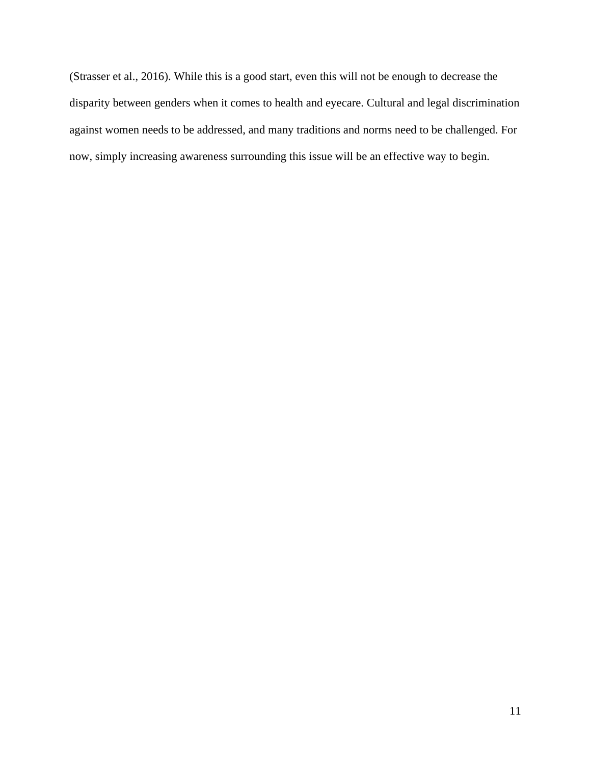(Strasser et al., 2016). While this is a good start, even this will not be enough to decrease the disparity between genders when it comes to health and eyecare. Cultural and legal discrimination against women needs to be addressed, and many traditions and norms need to be challenged. For now, simply increasing awareness surrounding this issue will be an effective way to begin.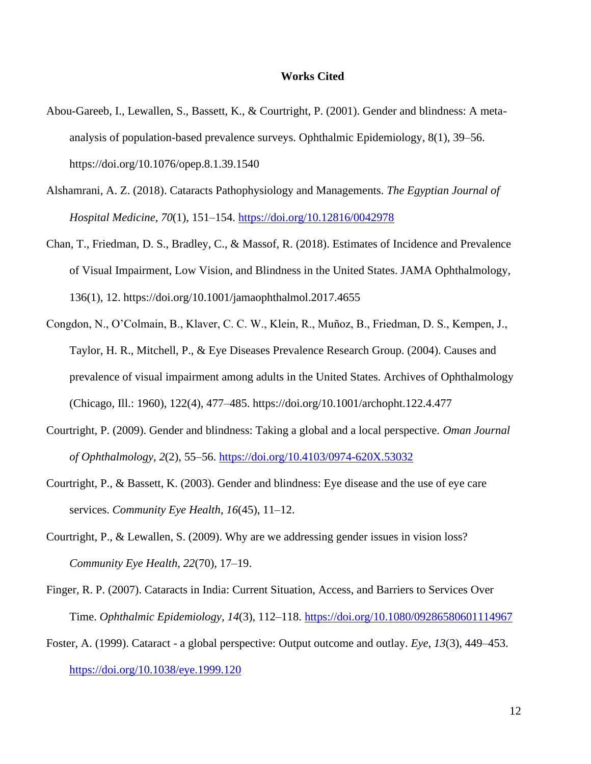#### **Works Cited**

- Abou-Gareeb, I., Lewallen, S., Bassett, K., & Courtright, P. (2001). Gender and blindness: A metaanalysis of population-based prevalence surveys. Ophthalmic Epidemiology, 8(1), 39–56. https://doi.org/10.1076/opep.8.1.39.1540
- Alshamrani, A. Z. (2018). Cataracts Pathophysiology and Managements. *The Egyptian Journal of Hospital Medicine*, *70*(1), 151–154.<https://doi.org/10.12816/0042978>
- Chan, T., Friedman, D. S., Bradley, C., & Massof, R. (2018). Estimates of Incidence and Prevalence of Visual Impairment, Low Vision, and Blindness in the United States. JAMA Ophthalmology, 136(1), 12. https://doi.org/10.1001/jamaophthalmol.2017.4655
- Congdon, N., O'Colmain, B., Klaver, C. C. W., Klein, R., Muñoz, B., Friedman, D. S., Kempen, J., Taylor, H. R., Mitchell, P., & Eye Diseases Prevalence Research Group. (2004). Causes and prevalence of visual impairment among adults in the United States. Archives of Ophthalmology (Chicago, Ill.: 1960), 122(4), 477–485. https://doi.org/10.1001/archopht.122.4.477
- Courtright, P. (2009). Gender and blindness: Taking a global and a local perspective. *Oman Journal of Ophthalmology*, *2*(2), 55–56.<https://doi.org/10.4103/0974-620X.53032>
- Courtright, P., & Bassett, K. (2003). Gender and blindness: Eye disease and the use of eye care services. *Community Eye Health*, *16*(45), 11–12.
- Courtright, P., & Lewallen, S. (2009). Why are we addressing gender issues in vision loss? *Community Eye Health*, *22*(70), 17–19.
- Finger, R. P. (2007). Cataracts in India: Current Situation, Access, and Barriers to Services Over Time. *Ophthalmic Epidemiology*, *14*(3), 112–118.<https://doi.org/10.1080/09286580601114967>
- Foster, A. (1999). Cataract a global perspective: Output outcome and outlay. *Eye*, *13*(3), 449–453. <https://doi.org/10.1038/eye.1999.120>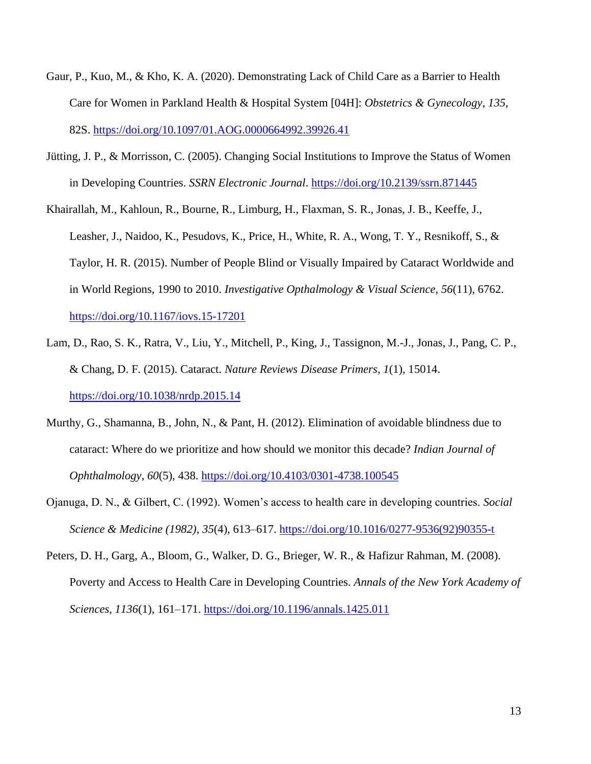- Gaur, P., Kuo, M., & Kho, K. A. (2020). Demonstrating Lack of Child Care as a Barrier to Health Care for Women in Parkland Health & Hospital System [04H]: *Obstetrics & Gynecology*, *135*, 82S.<https://doi.org/10.1097/01.AOG.0000664992.39926.41>
- Jütting, J. P., & Morrisson, C. (2005). Changing Social Institutions to Improve the Status of Women in Developing Countries. *SSRN Electronic Journal*.<https://doi.org/10.2139/ssrn.871445>
- Khairallah, M., Kahloun, R., Bourne, R., Limburg, H., Flaxman, S. R., Jonas, J. B., Keeffe, J., Leasher, J., Naidoo, K., Pesudovs, K., Price, H., White, R. A., Wong, T. Y., Resnikoff, S., & Taylor, H. R. (2015). Number of People Blind or Visually Impaired by Cataract Worldwide and in World Regions, 1990 to 2010. *Investigative Opthalmology & Visual Science*, *56*(11), 6762. <https://doi.org/10.1167/iovs.15-17201>
- Lam, D., Rao, S. K., Ratra, V., Liu, Y., Mitchell, P., King, J., Tassignon, M.-J., Jonas, J., Pang, C. P., & Chang, D. F. (2015). Cataract. *Nature Reviews Disease Primers*, *1*(1), 15014. <https://doi.org/10.1038/nrdp.2015.14>
- Murthy, G., Shamanna, B., John, N., & Pant, H. (2012). Elimination of avoidable blindness due to cataract: Where do we prioritize and how should we monitor this decade? *Indian Journal of Ophthalmology*, *60*(5), 438.<https://doi.org/10.4103/0301-4738.100545>
- Ojanuga, D. N., & Gilbert, C. (1992). Women's access to health care in developing countries. *Social Science & Medicine (1982)*, *35*(4), 613–617. [https://doi.org/10.1016/0277-9536\(92\)90355-t](https://doi.org/10.1016/0277-9536(92)90355-t)
- Peters, D. H., Garg, A., Bloom, G., Walker, D. G., Brieger, W. R., & Hafizur Rahman, M. (2008). Poverty and Access to Health Care in Developing Countries. *Annals of the New York Academy of Sciences*, *1136*(1), 161–171.<https://doi.org/10.1196/annals.1425.011>